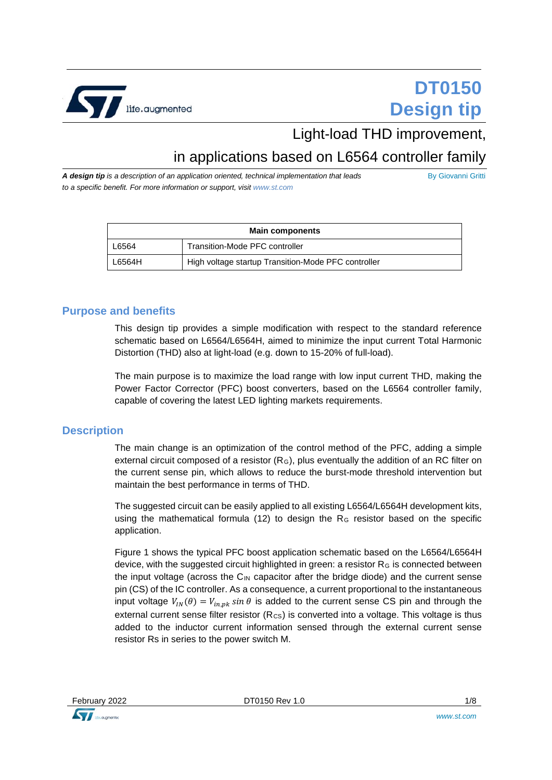

# **DT0150 Design tip**

## Light-load THD improvement,

## in applications based on L6564 controller family

*A design tip is a description of an application oriented, technical implementation that leads to a specific benefit. For more information or support, visit www.st.com*

By Giovanni Gritti

| <b>Main components</b> |                                                     |  |
|------------------------|-----------------------------------------------------|--|
| L6564                  | Transition-Mode PFC controller                      |  |
| L6564H                 | High voltage startup Transition-Mode PFC controller |  |

#### **Purpose and benefits**

This design tip provides a simple modification with respect to the standard reference schematic based on L6564/L6564H, aimed to minimize the input current Total Harmonic Distortion (THD) also at light-load (e.g. down to 15-20% of full-load).

The main purpose is to maximize the load range with low input current THD, making the Power Factor Corrector (PFC) boost converters, based on the L6564 controller family, capable of covering the latest LED lighting markets requirements.

#### **Description**

The main change is an optimization of the control method of the PFC, adding a simple external circuit composed of a resistor  $(R<sub>G</sub>)$ , plus eventually the addition of an RC filter on the current sense pin, which allows to reduce the burst-mode threshold intervention but maintain the best performance in terms of THD.

The suggested circuit can be easily applied to all existing L6564/L6564H development kits, using the mathematical formula (12) to design the  $R<sub>G</sub>$  resistor based on the specific application.

Figure 1 shows the typical PFC boost application schematic based on the L6564/L6564H device, with the suggested circuit highlighted in green: a resistor  $R<sub>G</sub>$  is connected between the input voltage (across the  $C_{\text{IN}}$  capacitor after the bridge diode) and the current sense pin (CS) of the IC controller. As a consequence, a current proportional to the instantaneous input voltage  $V_{IN}(\theta) = V_{in,pk} \sin \theta$  is added to the current sense CS pin and through the external current sense filter resistor  $(R_{\text{CS}})$  is converted into a voltage. This voltage is thus added to the inductor current information sensed through the external current sense resistor Rs in series to the power switch M.

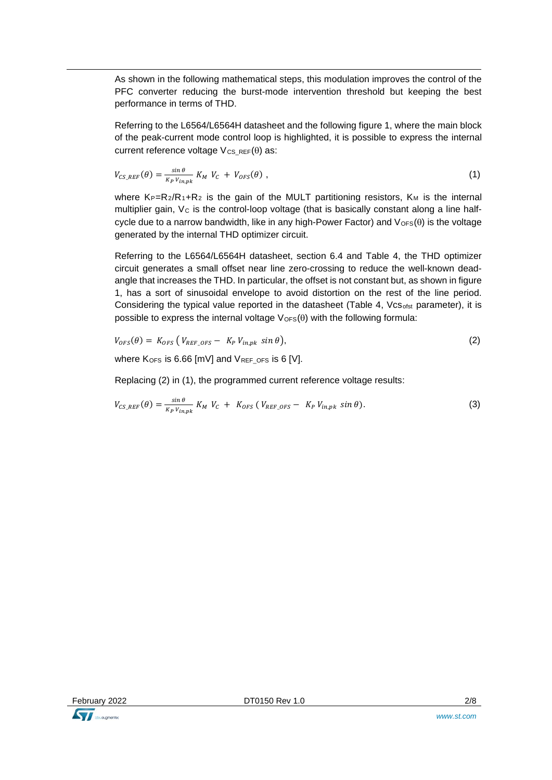As shown in the following mathematical steps, this modulation improves the control of the PFC converter reducing the burst-mode intervention threshold but keeping the best performance in terms of THD.

Referring to the L6564/L6564H datasheet and the following figure 1, where the main block of the peak-current mode control loop is highlighted, it is possible to express the internal current reference voltage  $V_{CS,REF}(\theta)$  as:

$$
V_{CS\_REF}(\theta) = \frac{\sin \theta}{K_P V_{in,pk}} K_M V_C + V_{OFS}(\theta) ,
$$
 (1)

where  $K_P=R_2/R_1+R_2$  is the gain of the MULT partitioning resistors,  $K_M$  is the internal multiplier gain,  $V_c$  is the control-loop voltage (that is basically constant along a line halfcycle due to a narrow bandwidth, like in any high-Power Factor) and  $V_{\text{OFS}}(\theta)$  is the voltage generated by the internal THD optimizer circuit.

Referring to the L6564/L6564H datasheet, section 6.4 and Table 4, the THD optimizer circuit generates a small offset near line zero-crossing to reduce the well-known deadangle that increases the THD. In particular, the offset is not constant but, as shown in figure 1, has a sort of sinusoidal envelope to avoid distortion on the rest of the line period. Considering the typical value reported in the datasheet (Table 4,  $Vcs<sub>ofst</sub>$  parameter), it is possible to express the internal voltage  $V_{\text{OFS}}(\theta)$  with the following formula:

$$
V_{OFS}(\theta) = K_{OFS} \left( V_{REF\_OFS} - K_P V_{in,pk} \sin \theta \right), \tag{2}
$$

where  $K_{OFS}$  is 6.66 [mV] and  $V_{REF}$  ors is 6 [V].

Replacing (2) in (1), the programmed current reference voltage results:

$$
V_{CS\_REF}(\theta) = \frac{\sin \theta}{\kappa_P \, V_{in,pk}} \, K_M \, V_C \, + \, K_{OFS} \left( \, V_{REF\_OFS} \, - \, K_P \, V_{in,pk} \, \sin \theta \right). \tag{3}
$$

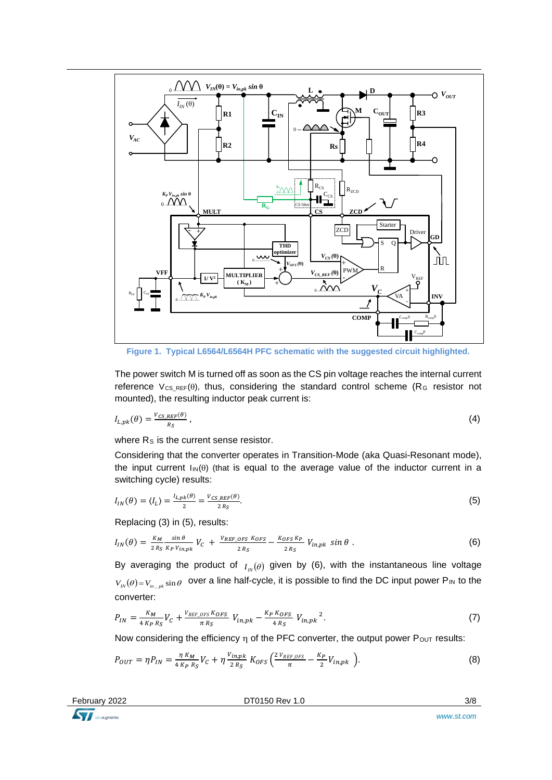

**Figure 1. Typical L6564/L6564H PFC schematic with the suggested circuit highlighted.**

The power switch M is turned off as soon as the CS pin voltage reaches the internal current reference  $V_{CS,REF}(\theta)$ , thus, considering the standard control scheme (R<sub>G</sub> resistor not mounted), the resulting inductor peak current is:

$$
I_{L,pk}(\theta) = \frac{V_{CS\_REF}(\theta)}{R_S},
$$
\n(4)

where R<sub>S</sub> is the current sense resistor.

Considering that the converter operates in Transition-Mode (aka Quasi-Resonant mode), the input current  $\text{Im}(\theta)$  (that is equal to the average value of the inductor current in a switching cycle) results:

$$
I_{IN}(\theta) = \langle I_L \rangle = \frac{I_{L,pk}(\theta)}{2} = \frac{V_{CS\_REF}(\theta)}{2 R_S}.
$$
\n<sup>(5)</sup>

Replacing (3) in (5), results:

$$
I_{IN}(\theta) = \frac{K_M}{2R_S} \frac{\sin \theta}{K_P V_{in,pk}} V_C + \frac{V_{REF\_OPS}}{2R_S} \frac{K_{OPS} K_P}{2R_S} - \frac{K_{OPS} K_P}{2R_S} V_{in,pk} \sin \theta
$$
 (6)

By averaging the product of  $I_{N}(\theta)$  given by (6), with the instantaneous line voltage  $V_{N}(\theta) = V_{m}$   $_{pk}$  sin $\theta$  over a line half-cycle, it is possible to find the DC input power P<sub>IN</sub> to the converter:

$$
P_{IN} = \frac{K_M}{4 \, K_P \, R_S} V_C + \frac{V_{REF\_OPS} \, K_{OFS}}{\pi \, R_S} \, V_{in,pk} - \frac{K_P \, K_{OFS}}{4 \, R_S} \, V_{in,pk}^2 \, . \tag{7}
$$

Now considering the efficiency  $\eta$  of the PFC converter, the output power P<sub>OUT</sub> results:

$$
P_{OUT} = \eta P_{IN} = \frac{\eta K_M}{4 K_P R_S} V_C + \eta \frac{V_{in,pk}}{2 R_S} K_{OFS} \left( \frac{2 V_{REF\_OFS}}{\pi} - \frac{K_P}{2} V_{in,pk} \right).
$$
(8)

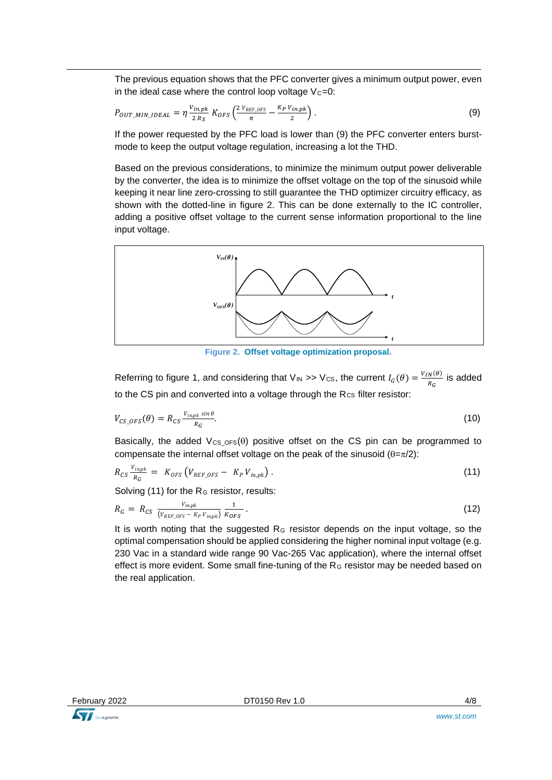The previous equation shows that the PFC converter gives a minimum output power, even in the ideal case where the control loop voltage  $Vc=0$ :

$$
P_{OUT\_MIN\_IDEAL} = \eta \frac{v_{in,pk}}{2 R_S} K_{OFS} \left( \frac{2 v_{REF\_OFS}}{\pi} - \frac{K_P v_{in,pk}}{2} \right). \tag{9}
$$

If the power requested by the PFC load is lower than (9) the PFC converter enters burstmode to keep the output voltage regulation, increasing a lot the THD.

Based on the previous considerations, to minimize the minimum output power deliverable by the converter, the idea is to minimize the offset voltage on the top of the sinusoid while keeping it near line zero-crossing to still guarantee the THD optimizer circuitry efficacy, as shown with the dotted-line in figure 2. This can be done externally to the IC controller, adding a positive offset voltage to the current sense information proportional to the line input voltage.



**Figure 2. Offset voltage optimization proposal.**

Referring to figure 1, and considering that  $V_{IN} \gg V_{CS}$ , the current  $I_G(\theta) = \frac{V_{IN}(\theta)}{R_G}$  is added to the CS pin and converted into a voltage through the Rcs filter resistor:

$$
V_{CS\_OFS}(\theta) = R_{CS} \frac{V_{in,pk} \sin \theta}{R_G}.
$$
\n(10)

Basically, the added  $V_{CS$   $0FS}(\theta)$  positive offset on the CS pin can be programmed to compensate the internal offset voltage on the peak of the sinusoid  $(\theta = \pi/2)$ :

$$
R_{CS}\frac{v_{inpk}}{R_G} = K_{OPS}\left(V_{REF\_OPS}-K_PV_{in,pk}\right). \hspace{1cm} (11)
$$

Solving (11) for the  $R<sub>G</sub>$  resistor, results:

$$
R_G = R_{CS} \frac{V_{inpk}}{(V_{REF\_OPS} - K_P V_{inpk})} \frac{1}{K_{OPS}}.
$$
\n(12)

It is worth noting that the suggested  $R<sub>G</sub>$  resistor depends on the input voltage, so the optimal compensation should be applied considering the higher nominal input voltage (e.g. 230 Vac in a standard wide range 90 Vac-265 Vac application), where the internal offset effect is more evident. Some small fine-tuning of the  $R<sub>G</sub>$  resistor may be needed based on the real application.

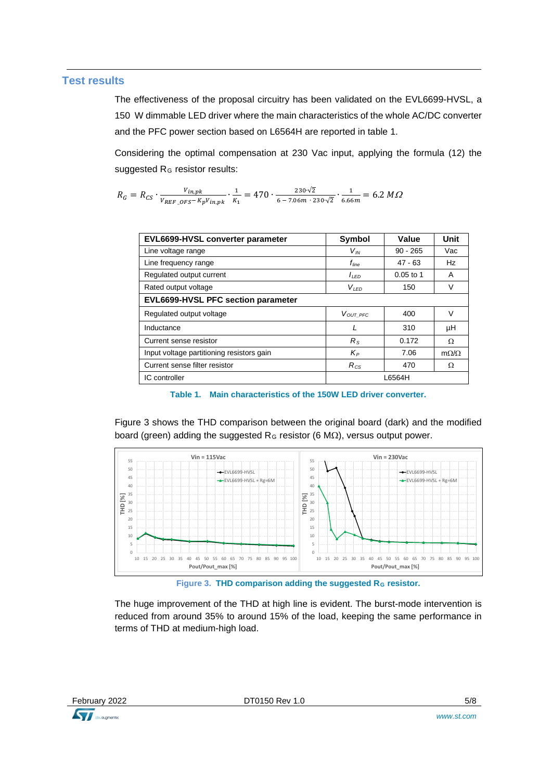#### **Test results**

The effectiveness of the proposal circuitry has been validated on the EVL6699-HVSL, a 150 W dimmable LED driver where the main characteristics of the whole AC/DC converter and the PFC power section based on L6564H are reported in table 1.

Considering the optimal compensation at 230 Vac input, applying the formula (12) the suggested R<sub>G</sub> resistor results:

 $R_G = R_{CS} \cdot \frac{V_{in,pk}}{V_{REF\_OFS} - K_p V_{in,pk}} \cdot \frac{1}{K_1} = 470 \cdot \frac{230 \cdot \sqrt{2}}{6 - 7.06 m \cdot 230 \cdot \sqrt{2}} \cdot \frac{1}{6.66 m} = 6.2 M \Omega$ 

| EVL6699-HVSL converter parameter          | Symbol            | Value       | Unit             |  |  |
|-------------------------------------------|-------------------|-------------|------------------|--|--|
| Line voltage range                        | $V_{I\!N}$        | $90 - 265$  | Vac              |  |  |
| Line frequency range                      | $f_{\text{line}}$ | $47 - 63$   | Hz               |  |  |
| Regulated output current                  | $I_{LED}$         | $0.05$ to 1 | A                |  |  |
| Rated output voltage                      | $V_{LED}$         | 150         | V                |  |  |
| EVL6699-HVSL PFC section parameter        |                   |             |                  |  |  |
| Regulated output voltage                  | VOUT PFC          | 400         | $\vee$           |  |  |
| Inductance                                |                   | 310         | μH               |  |  |
| Current sense resistor                    | $R_{\rm S}$       | 0.172       | $\Omega$         |  |  |
| Input voltage partitioning resistors gain | $K_P$             | 7.06        | $m\Omega/\Omega$ |  |  |
| Current sense filter resistor             | $R_{CS}$          | 470         | $\Omega$         |  |  |
| IC controller                             | L6564H            |             |                  |  |  |

**Table 1. Main characteristics of the 150W LED driver converter.**

Figure 3 shows the THD comparison between the original board (dark) and the modified board (green) adding the suggested R<sub>G</sub> resistor (6 M $\Omega$ ), versus output power.



**Figure 3. THD comparison adding the suggested R<sub>G</sub> resistor.** 

The huge improvement of the THD at high line is evident. The burst-mode intervention is reduced from around 35% to around 15% of the load, keeping the same performance in terms of THD at medium-high load.

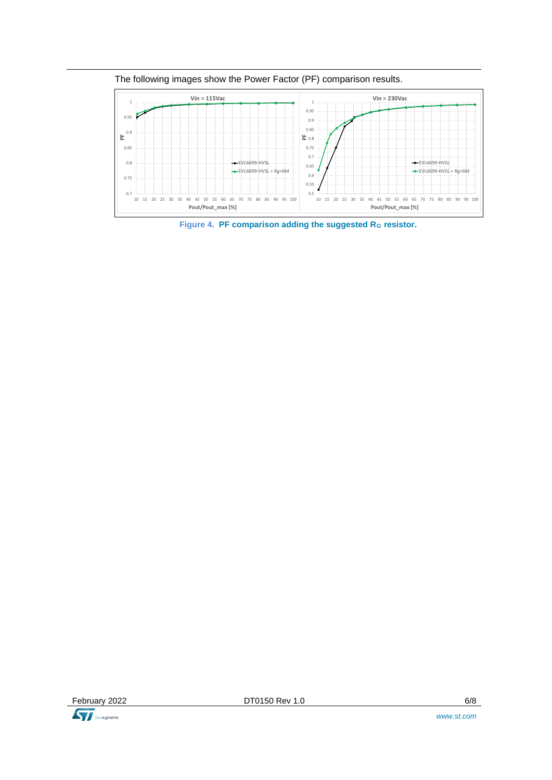

The following images show the Power Factor (PF) comparison results.

Figure 4. PF comparison adding the suggested R<sub>G</sub> resistor.

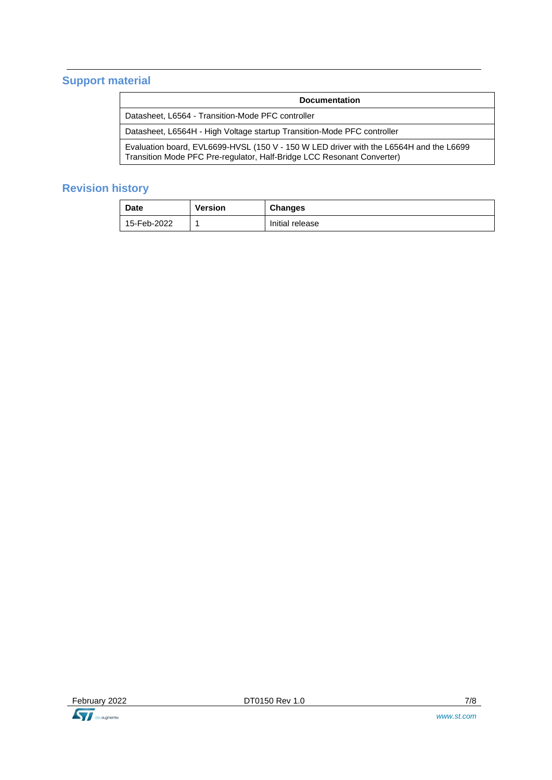### **Support material**

| <b>Documentation</b>                                                                                                                                             |  |  |
|------------------------------------------------------------------------------------------------------------------------------------------------------------------|--|--|
| Datasheet, L6564 - Transition-Mode PFC controller                                                                                                                |  |  |
| Datasheet, L6564H - High Voltage startup Transition-Mode PFC controller                                                                                          |  |  |
| Evaluation board, EVL6699-HVSL (150 V - 150 W LED driver with the L6564H and the L6699<br>Transition Mode PFC Pre-regulator, Half-Bridge LCC Resonant Converter) |  |  |

### **Revision history**

| Date        | Version | <b>Changes</b>  |
|-------------|---------|-----------------|
| 15-Feb-2022 |         | Initial release |